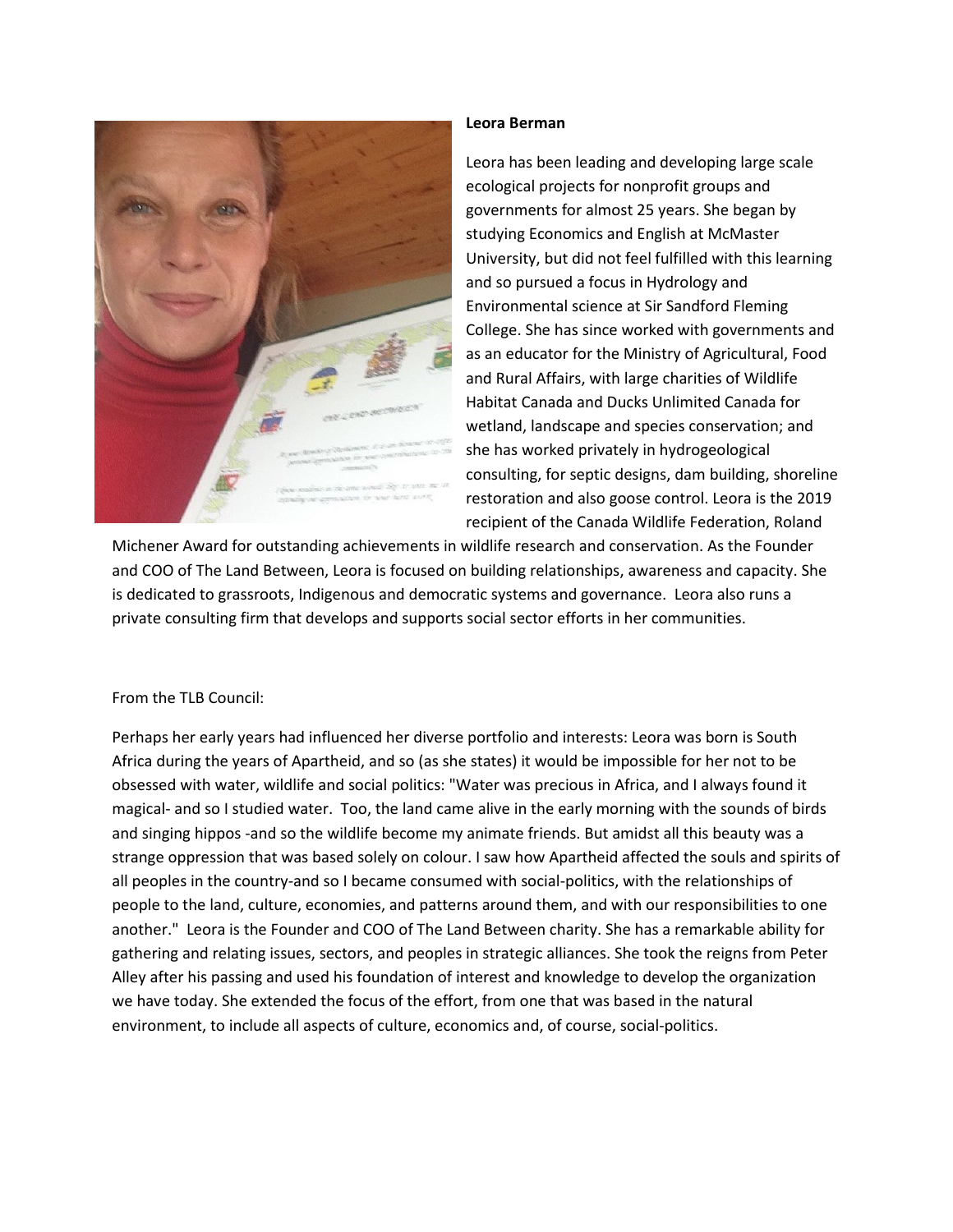

## **Leora Berman**

Leora has been leading and developing large scale ecological projects for nonprofit groups and governments for almost 25 years. She began by studying Economics and English at McMaster University, but did not feel fulfilled with this learning and so pursued a focus in Hydrology and Environmental science at Sir Sandford Fleming College. She has since worked with governments and as an educator for the Ministry of Agricultural, Food and Rural Affairs, with large charities of Wildlife Habitat Canada and Ducks Unlimited Canada for wetland, landscape and species conservation; and she has worked privately in hydrogeological consulting, for septic designs, dam building, shoreline restoration and also goose control. Leora is the 2019 recipient of the Canada Wildlife Federation, Roland

Michener Award for outstanding achievements in wildlife research and conservation. As the Founder and COO of The Land Between, Leora is focused on building relationships, awareness and capacity. She is dedicated to grassroots, Indigenous and democratic systems and governance. Leora also runs a private consulting firm that develops and supports social sector efforts in her communities.

## From the TLB Council:

Perhaps her early years had influenced her diverse portfolio and interests: Leora was born is South Africa during the years of Apartheid, and so (as she states) it would be impossible for her not to be obsessed with water, wildlife and social politics: "Water was precious in Africa, and I always found it magical- and so I studied water. Too, the land came alive in the early morning with the sounds of birds and singing hippos -and so the wildlife become my animate friends. But amidst all this beauty was a strange oppression that was based solely on colour. I saw how Apartheid affected the souls and spirits of all peoples in the country-and so I became consumed with social-politics, with the relationships of people to the land, culture, economies, and patterns around them, and with our responsibilities to one another." Leora is the Founder and COO of The Land Between charity. She has a remarkable ability for gathering and relating issues, sectors, and peoples in strategic alliances. She took the reigns from Peter Alley after his passing and used his foundation of interest and knowledge to develop the organization we have today. She extended the focus of the effort, from one that was based in the natural environment, to include all aspects of culture, economics and, of course, social-politics.